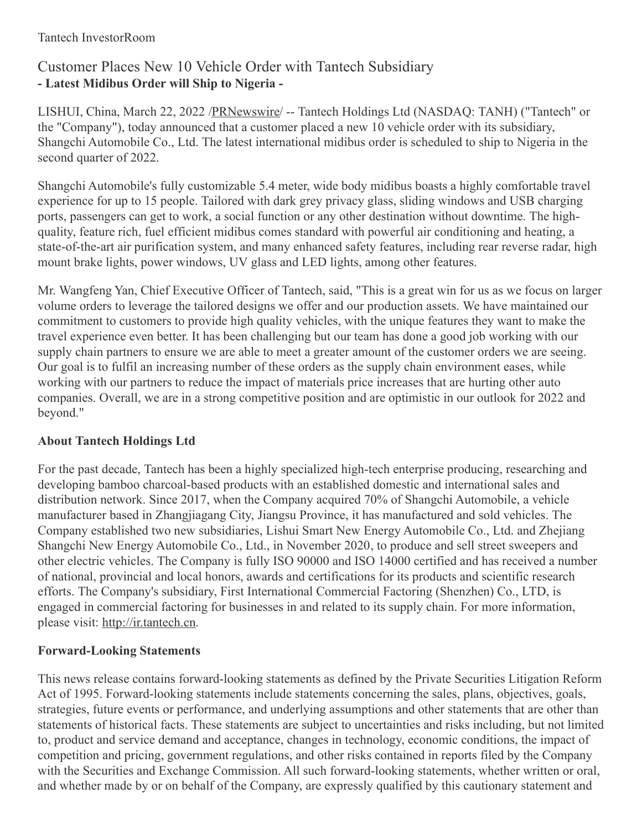## Tantech InvestorRoom

## Customer Places New 10 Vehicle Order with Tantech Subsidiary **- Latest Midibus Order will Ship to Nigeria -**

LISHUI, China, March 22, 2022 [/PRNewswire](http://www.prnewswire.com/)/ -- Tantech Holdings Ltd (NASDAQ: TANH) ("Tantech" or the "Company"), today announced that a customer placed a new 10 vehicle order with its subsidiary, Shangchi Automobile Co., Ltd. The latest international midibus order is scheduled to ship to Nigeria in the second quarter of 2022.

Shangchi Automobile's fully customizable 5.4 meter, wide body midibus boasts a highly comfortable travel experience for up to 15 people. Tailored with dark grey privacy glass, sliding windows and USB charging ports, passengers can get to work, a social function or any other destination without downtime. The highquality, feature rich, fuel efficient midibus comes standard with powerful air conditioning and heating, a state-of-the-art air purification system, and many enhanced safety features, including rear reverse radar, high mount brake lights, power windows, UV glass and LED lights, among other features.

Mr. Wangfeng Yan, Chief Executive Officer of Tantech, said, "This is a great win for us as we focus on larger volume orders to leverage the tailored designs we offer and our production assets. We have maintained our commitment to customers to provide high quality vehicles, with the unique features they want to make the travel experience even better. It has been challenging but our team has done a good job working with our supply chain partners to ensure we are able to meet a greater amount of the customer orders we are seeing. Our goal is to fulfil an increasing number of these orders as the supply chain environment eases, while working with our partners to reduce the impact of materials price increases that are hurting other auto companies. Overall, we are in a strong competitive position and are optimistic in our outlook for 2022 and beyond."

## **About Tantech Holdings Ltd**

For the past decade, Tantech has been a highly specialized high-tech enterprise producing, researching and developing bamboo charcoal-based products with an established domestic and international sales and distribution network. Since 2017, when the Company acquired 70% of Shangchi Automobile, a vehicle manufacturer based in Zhangjiagang City, Jiangsu Province, it has manufactured and sold vehicles. The Company established two new subsidiaries, Lishui Smart New Energy Automobile Co., Ltd. and Zhejiang Shangchi New Energy Automobile Co., Ltd., in November 2020, to produce and sell street sweepers and other electric vehicles. The Company is fully ISO 90000 and ISO 14000 certified and has received a number of national, provincial and local honors, awards and certifications for its products and scientific research efforts. The Company's subsidiary, First International Commercial Factoring (Shenzhen) Co., LTD, is engaged in commercial factoring for businesses in and related to its supply chain. For more information, please visit: [http://ir.tantech.cn](http://ir.tantech.cn/).

## **Forward-Looking Statements**

This news release contains forward-looking statements as defined by the Private Securities Litigation Reform Act of 1995. Forward-looking statements include statements concerning the sales, plans, objectives, goals, strategies, future events or performance, and underlying assumptions and other statements that are other than statements of historical facts. These statements are subject to uncertainties and risks including, but not limited to, product and service demand and acceptance, changes in technology, economic conditions, the impact of competition and pricing, government regulations, and other risks contained in reports filed by the Company with the Securities and Exchange Commission. All such forward-looking statements, whether written or oral, and whether made by or on behalf of the Company, are expressly qualified by this cautionary statement and